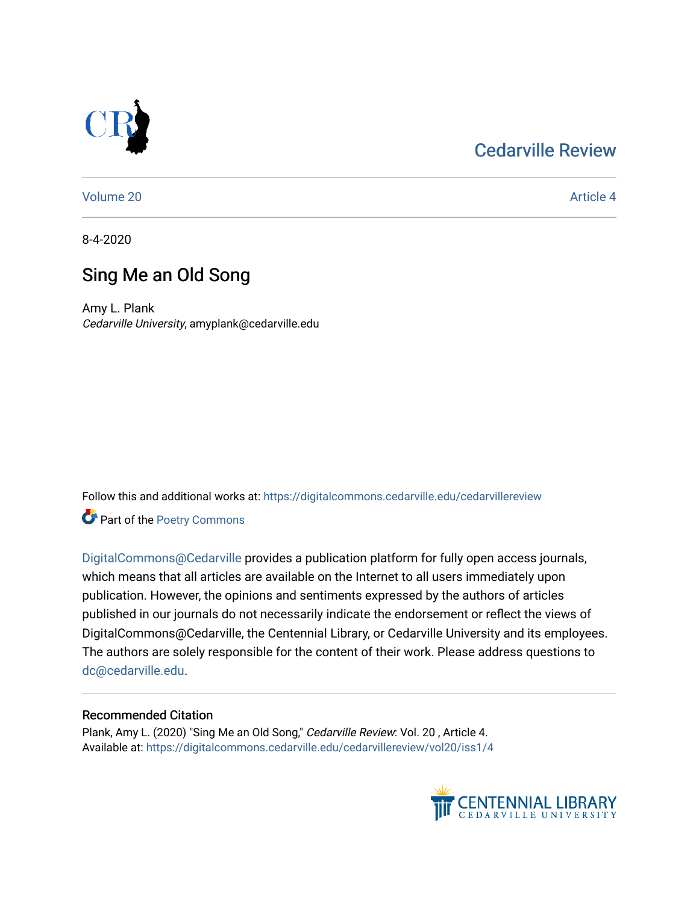## [Cedarville Review](https://digitalcommons.cedarville.edu/cedarvillereview)



[Volume 20](https://digitalcommons.cedarville.edu/cedarvillereview/vol20) [Article 4](https://digitalcommons.cedarville.edu/cedarvillereview/vol20/iss1/4) 

8-4-2020

## Sing Me an Old Song

Amy L. Plank Cedarville University, amyplank@cedarville.edu

Follow this and additional works at: [https://digitalcommons.cedarville.edu/cedarvillereview](https://digitalcommons.cedarville.edu/cedarvillereview?utm_source=digitalcommons.cedarville.edu%2Fcedarvillereview%2Fvol20%2Fiss1%2F4&utm_medium=PDF&utm_campaign=PDFCoverPages) 

Part of the [Poetry Commons](http://network.bepress.com/hgg/discipline/1153?utm_source=digitalcommons.cedarville.edu%2Fcedarvillereview%2Fvol20%2Fiss1%2F4&utm_medium=PDF&utm_campaign=PDFCoverPages) 

[DigitalCommons@Cedarville](http://digitalcommons.cedarville.edu/) provides a publication platform for fully open access journals, which means that all articles are available on the Internet to all users immediately upon publication. However, the opinions and sentiments expressed by the authors of articles published in our journals do not necessarily indicate the endorsement or reflect the views of DigitalCommons@Cedarville, the Centennial Library, or Cedarville University and its employees. The authors are solely responsible for the content of their work. Please address questions to [dc@cedarville.edu.](mailto:dc@cedarville.edu)

#### Recommended Citation

Plank, Amy L. (2020) "Sing Me an Old Song," Cedarville Review: Vol. 20 , Article 4. Available at: [https://digitalcommons.cedarville.edu/cedarvillereview/vol20/iss1/4](https://digitalcommons.cedarville.edu/cedarvillereview/vol20/iss1/4?utm_source=digitalcommons.cedarville.edu%2Fcedarvillereview%2Fvol20%2Fiss1%2F4&utm_medium=PDF&utm_campaign=PDFCoverPages) 

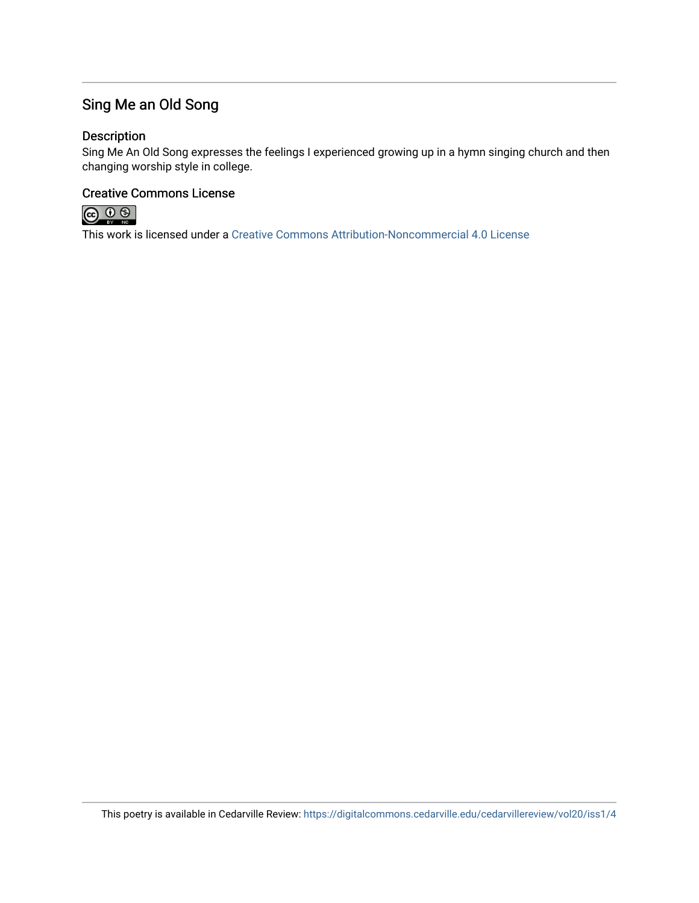### Sing Me an Old Song

#### Description

Sing Me An Old Song expresses the feelings I experienced growing up in a hymn singing church and then changing worship style in college.

#### Creative Commons License



This work is licensed under a [Creative Commons Attribution-Noncommercial 4.0 License](http://creativecommons.org/licenses/by-nc/4.0/)